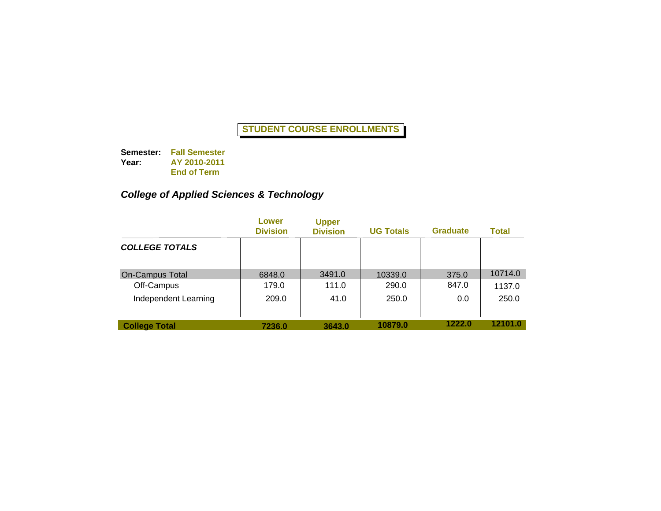**Semester: Fall Semester Year: AY 2010-2011 End of Term**

# *College of Applied Sciences & Technology*

|                        | Lower<br><b>Division</b> | <b>Upper</b><br><b>Division</b> | <b>UG Totals</b> | <b>Graduate</b> | Total   |
|------------------------|--------------------------|---------------------------------|------------------|-----------------|---------|
| <b>COLLEGE TOTALS</b>  |                          |                                 |                  |                 |         |
| <b>On-Campus Total</b> | 6848.0                   | 3491.0                          | 10339.0          | 375.0           | 10714.0 |
| Off-Campus             | 179.0                    | 111.0                           | 290.0            | 847.0           | 1137.0  |
| Independent Learning   | 209.0                    | 41.0                            | 250.0            | 0.0             | 250.0   |
| <b>College Total</b>   | 7236.0                   | 3643.0                          | 10879.0          | 1222.0          | 12101.0 |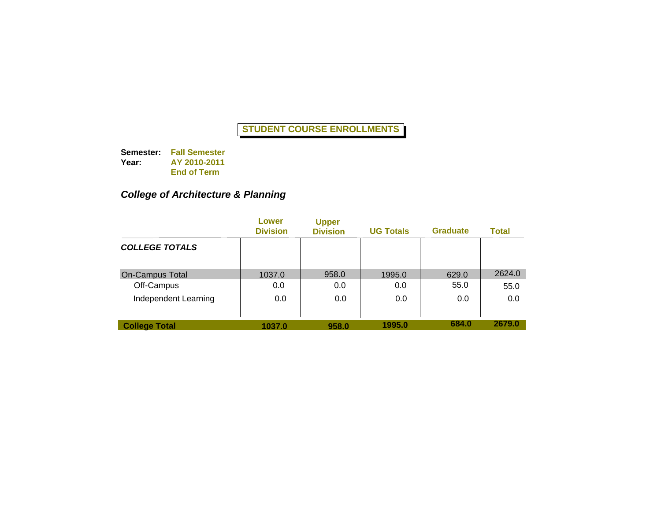**Semester: Fall Semester Year: AY 2010-2011 End of Term**

### *College of Architecture & Planning*

|                        | Lower<br><b>Division</b> | <b>Upper</b><br><b>Division</b> | <b>UG Totals</b> | <b>Graduate</b> | Total  |
|------------------------|--------------------------|---------------------------------|------------------|-----------------|--------|
| <b>COLLEGE TOTALS</b>  |                          |                                 |                  |                 |        |
| <b>On-Campus Total</b> | 1037.0                   | 958.0                           | 1995.0           | 629.0           | 2624.0 |
| Off-Campus             | 0.0                      | 0.0                             | 0.0              | 55.0            | 55.0   |
| Independent Learning   | 0.0                      | 0.0                             | 0.0              | 0.0             | 0.0    |
| <b>College Total</b>   | 1037.0                   | 958.0                           | 1995.0           | 684.0           | 2679.0 |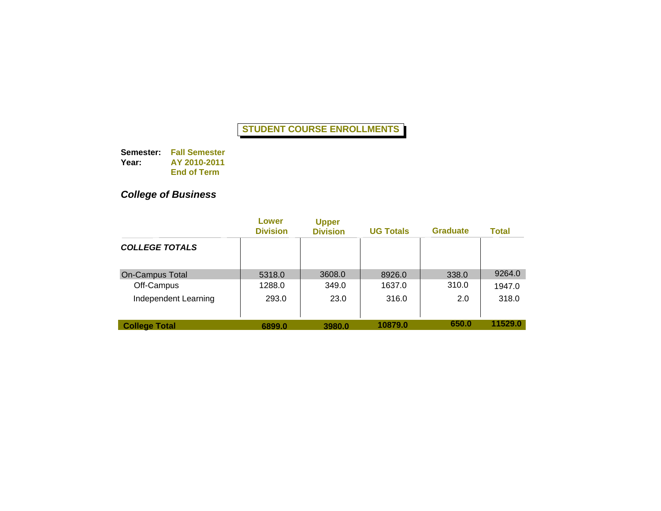**Semester: Fall Semester Year: AY 2010-2011 End of Term**

## *College of Business*

|                        | Lower<br><b>Division</b> | <b>Upper</b><br><b>Division</b> | <b>UG Totals</b> | <b>Graduate</b> | <b>Total</b> |
|------------------------|--------------------------|---------------------------------|------------------|-----------------|--------------|
| <b>COLLEGE TOTALS</b>  |                          |                                 |                  |                 |              |
| <b>On-Campus Total</b> | 5318.0                   | 3608.0                          | 8926.0           | 338.0           | 9264.0       |
| Off-Campus             | 1288.0                   | 349.0                           | 1637.0           | 310.0           | 1947.0       |
| Independent Learning   | 293.0                    | 23.0                            | 316.0            | 2.0             | 318.0        |
| <b>College Total</b>   | 6899.0                   | 3980.0                          | 10879.0          | 650.0           | 11529.0      |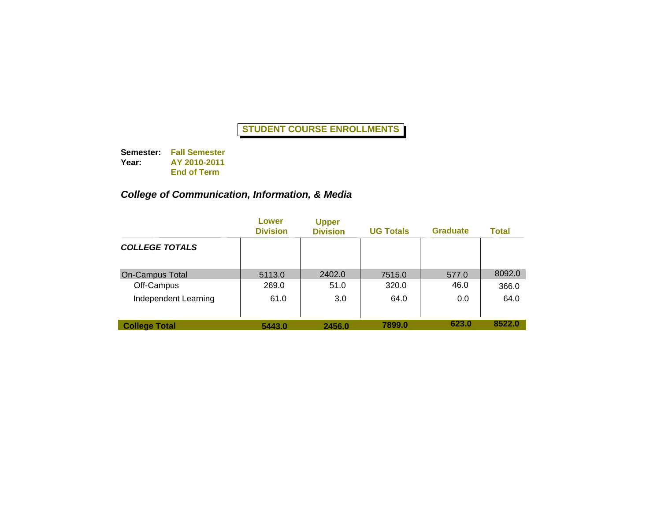**Semester: Fall Semester Year: AY 2010-2011 End of Term**

### *College of Communication, Information, & Media*

|                        | Lower<br><b>Division</b> | <b>Upper</b><br><b>Division</b> | <b>UG Totals</b> | <b>Graduate</b> | Total  |
|------------------------|--------------------------|---------------------------------|------------------|-----------------|--------|
| <b>COLLEGE TOTALS</b>  |                          |                                 |                  |                 |        |
| <b>On-Campus Total</b> | 5113.0                   | 2402.0                          | 7515.0           | 577.0           | 8092.0 |
| Off-Campus             | 269.0                    | 51.0                            | 320.0            | 46.0            | 366.0  |
| Independent Learning   | 61.0                     | 3.0                             | 64.0             | 0.0             | 64.0   |
| <b>College Total</b>   | 5443.0                   | 2456.0                          | 7899.0           | 623.0           | 8522.0 |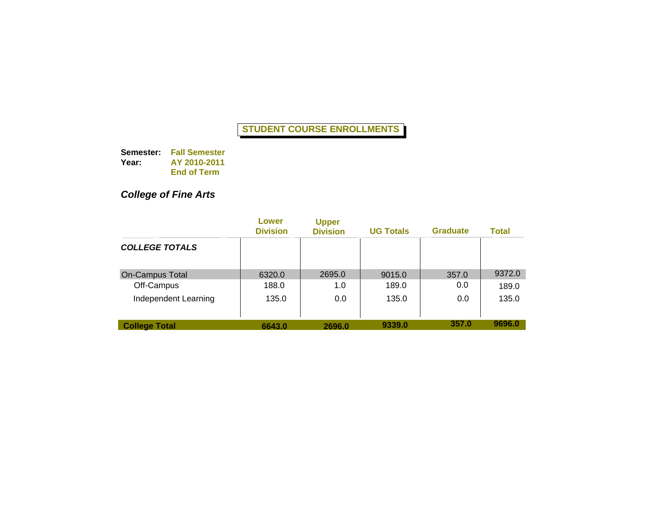**Semester: Fall Semester Year: AY 2010-2011 End of Term**

## *College of Fine Arts*

|                        | Lower<br><b>Division</b> | <b>Upper</b><br><b>Division</b> | <b>UG Totals</b> | <b>Graduate</b> | Total  |
|------------------------|--------------------------|---------------------------------|------------------|-----------------|--------|
| <b>COLLEGE TOTALS</b>  |                          |                                 |                  |                 |        |
| <b>On-Campus Total</b> | 6320.0                   | 2695.0                          | 9015.0           | 357.0           | 9372.0 |
| Off-Campus             | 188.0                    | 1.0                             | 189.0            | 0.0             | 189.0  |
| Independent Learning   | 135.0                    | 0.0                             | 135.0            | 0.0             | 135.0  |
| <b>College Total</b>   | 6643.0                   | 2696.0                          | 9339.0           | 357.0           | 9696.0 |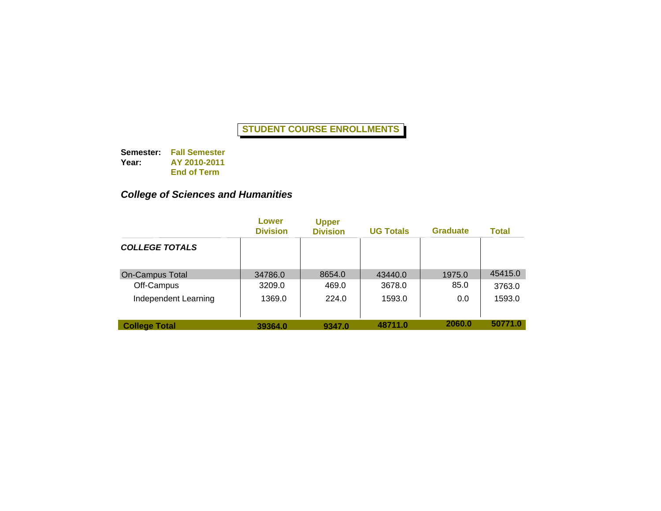**Semester: Fall Semester Year: AY 2010-2011 End of Term**

### *College of Sciences and Humanities*

|                        | Lower<br><b>Division</b> | <b>Upper</b><br><b>Division</b> | <b>UG Totals</b> | <b>Graduate</b> | Total   |
|------------------------|--------------------------|---------------------------------|------------------|-----------------|---------|
| <b>COLLEGE TOTALS</b>  |                          |                                 |                  |                 |         |
| <b>On-Campus Total</b> | 34786.0                  | 8654.0                          | 43440.0          | 1975.0          | 45415.0 |
| Off-Campus             | 3209.0                   | 469.0                           | 3678.0           | 85.0            | 3763.0  |
| Independent Learning   | 1369.0                   | 224.0                           | 1593.0           | 0.0             | 1593.0  |
| <b>College Total</b>   | 39364.0                  | 9347.0                          | 48711.0          | 2060.0          | 50771.0 |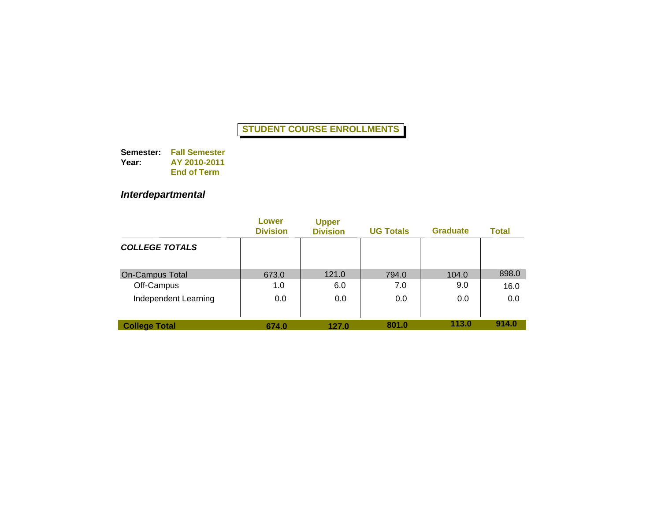**Semester: Fall Semester Year: AY 2010-2011 End of Term**

## *Interdepartmental*

|                        | Lower<br><b>Division</b> | <b>Upper</b><br><b>Division</b> | <b>UG Totals</b> | <b>Graduate</b> | Total |
|------------------------|--------------------------|---------------------------------|------------------|-----------------|-------|
| <b>COLLEGE TOTALS</b>  |                          |                                 |                  |                 |       |
| <b>On-Campus Total</b> | 673.0                    | 121.0                           | 794.0            | 104.0           | 898.0 |
| Off-Campus             | 1.0                      | 6.0                             | 7.0              | 9.0             | 16.0  |
| Independent Learning   | 0.0                      | 0.0                             | 0.0              | 0.0             | 0.0   |
| <b>College Total</b>   | 674.0                    | 127.0                           | 801.0            | 113.0           | 914.0 |